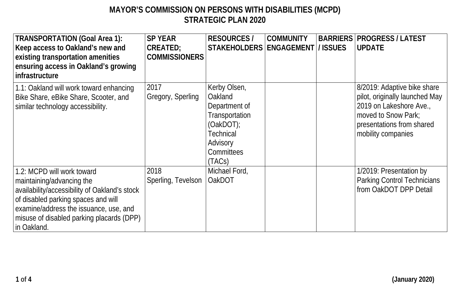**1 of 4 (January 2020)**

## **MAYOR'S COMMISSION ON PERSONS WITH DISABILITIES (MCPD) STRATEGIC PLAN 2020**

| <b>TRANSPORTATION (Goal Area 1):</b><br>Keep access to Oakland's new and<br>existing transportation amenities<br>ensuring access in Oakland's growing<br>infrastructure                                                                               | <b>SP YEAR</b><br><b>CREATED;</b><br><b>COMMISSIONERS</b> | <b>RESOURCES /</b><br><b>STAKEHOLDERS</b>                                                                                        | <b>COMMUNITY</b><br>ENGAGEMENT  / ISSUES | <b>BARRIERS</b> | <b>PROGRESS / LATEST</b><br><b>UPDATE</b>                                                                                                                          |
|-------------------------------------------------------------------------------------------------------------------------------------------------------------------------------------------------------------------------------------------------------|-----------------------------------------------------------|----------------------------------------------------------------------------------------------------------------------------------|------------------------------------------|-----------------|--------------------------------------------------------------------------------------------------------------------------------------------------------------------|
| 1.1: Oakland will work toward enhancing<br>Bike Share, eBike Share, Scooter, and<br>similar technology accessibility.                                                                                                                                 | 2017<br>Gregory, Sperling                                 | Kerby Olsen,<br>Oakland<br>Department of<br>Transportation<br>(Oa kDOT);<br><b>Technical</b><br>Advisory<br>Committees<br>(TACS) |                                          |                 | 8/2019: Adaptive bike share<br>pilot, originally launched May<br>2019 on Lakeshore Ave.,<br>moved to Snow Park;<br>presentations from shared<br>mobility companies |
| 1.2: MCPD will work toward<br>maintaining/advancing the<br>availability/accessibility of Oakland's stock<br>of disabled parking spaces and will<br>examine/address the issuance, use, and<br>misuse of disabled parking placards (DPP)<br>in Oakland. | 2018<br>Sperling, Tevelson                                | Michael Ford,<br>OakDOT                                                                                                          |                                          |                 | 1/2019: Presentation by<br><b>Parking Control Technicians</b><br>from OakDOT DPP Detail                                                                            |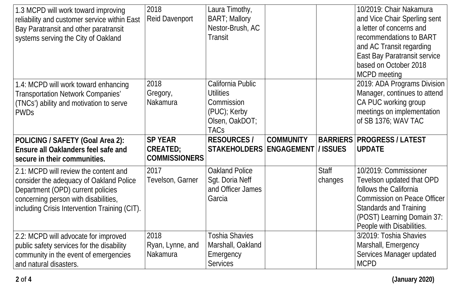| 1.3 MCPD will work toward improving<br>reliability and customer service within East<br>Bay Paratransit and other paratransit<br>systems serving the City of Oakland                                            | 2018<br><b>Reid Davenport</b>                             | Laura Timothy,<br><b>BART</b> ; Mallory<br>Nestor-Brush, AC<br><b>Transit</b>                 |                  |                         | 10/2019: Chair Nakamura<br>and Vice Chair Sperling sent<br>a letter of concerns and<br>recommendations to BART<br>and AC Transit regarding<br><b>East Bay Paratransit service</b><br>based on October 2018<br><b>MCPD</b> meeting |
|----------------------------------------------------------------------------------------------------------------------------------------------------------------------------------------------------------------|-----------------------------------------------------------|-----------------------------------------------------------------------------------------------|------------------|-------------------------|-----------------------------------------------------------------------------------------------------------------------------------------------------------------------------------------------------------------------------------|
| 1.4: MCPD will work toward enhancing<br><b>Transportation Network Companies'</b><br>(TNCs') ability and motivation to serve<br>PWDs                                                                            | 2018<br>Gregory,<br>Nakamura                              | California Public<br>Utilities<br>Commission<br>(PUC); Kerby<br>Olsen, OakDOT;<br><b>TACs</b> |                  |                         | 2019: ADA Programs Division<br>Manager, continues to attend<br>CA PUC working group<br>meetings on implementation<br>of SB 1376; WAV TAC                                                                                          |
|                                                                                                                                                                                                                |                                                           | <b>RESOURCES/</b>                                                                             |                  |                         | <b>BARRIERS PROGRESS / LATEST</b>                                                                                                                                                                                                 |
| POLICING / SAFETY (Goal Area 2):<br><b>Ensure all Oaklanders feel safe and</b><br>secure in their communities.                                                                                                 | <b>SP YEAR</b><br><b>CREATED;</b><br><b>COMMISSIONERS</b> | STAKEHOLDERS   ENGAGEMENT   / ISSUES                                                          | <b>COMMUNITY</b> |                         | <b>UPDATE</b>                                                                                                                                                                                                                     |
| 2.1: MCPD will review the content and<br>consider the adequacy of Oakland Police<br>Department (OPD) current policies<br>concerning person with disabilities,<br>including Crisis Intervention Training (CIT). | 2017<br>Tevelson, Garner                                  | <b>Oakland Police</b><br>Sgt. Doria Neff<br>and Officer James<br>Garcia                       |                  | <b>Staff</b><br>changes | 10/2019: Commissioner<br>Tevelson updated that OPD<br>follows the California<br><b>Commission on Peace Officer</b><br><b>Standards and Training</b><br>(POST) Learning Domain 37:<br>People with Disabilities.                    |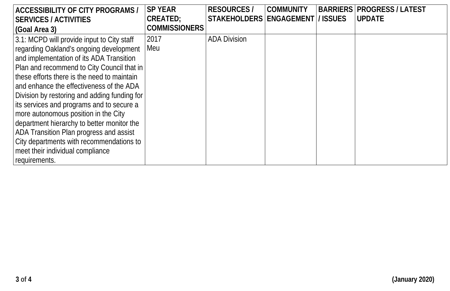**3 of 4 (January 2020)**

| <b>ACCESSIBILITY OF CITY PROGRAMS /</b>      | <b>SP YEAR</b>       | <b>RESOURCES /</b>                   | <b>COMMUNITY</b> | <b>BARRIERS   PROGRESS / LATEST</b> |
|----------------------------------------------|----------------------|--------------------------------------|------------------|-------------------------------------|
| <b>SERVICES / ACTIVITIES</b>                 | <b>CREATED:</b>      | STAKEHOLDERS   ENGAGEMENT   / ISSUES |                  | <b>UPDATE</b>                       |
| (Goal Area 3)                                | <b>COMMISSIONERS</b> |                                      |                  |                                     |
| 3.1: MCPD will provide input to City staff   | 2017                 | <b>ADA Division</b>                  |                  |                                     |
| regarding Oakland's ongoing development      | Meu                  |                                      |                  |                                     |
| and implementation of its ADA Transition     |                      |                                      |                  |                                     |
| Plan and recommend to City Council that in   |                      |                                      |                  |                                     |
| these efforts there is the need to maintain  |                      |                                      |                  |                                     |
| and enhance the effectiveness of the ADA     |                      |                                      |                  |                                     |
| Division by restoring and adding funding for |                      |                                      |                  |                                     |
| its services and programs and to secure a    |                      |                                      |                  |                                     |
| more autonomous position in the City         |                      |                                      |                  |                                     |
| department hierarchy to better monitor the   |                      |                                      |                  |                                     |
| ADA Transition Plan progress and assist      |                      |                                      |                  |                                     |
| City departments with recommendations to     |                      |                                      |                  |                                     |
| meet their individual compliance             |                      |                                      |                  |                                     |
| requirements.                                |                      |                                      |                  |                                     |